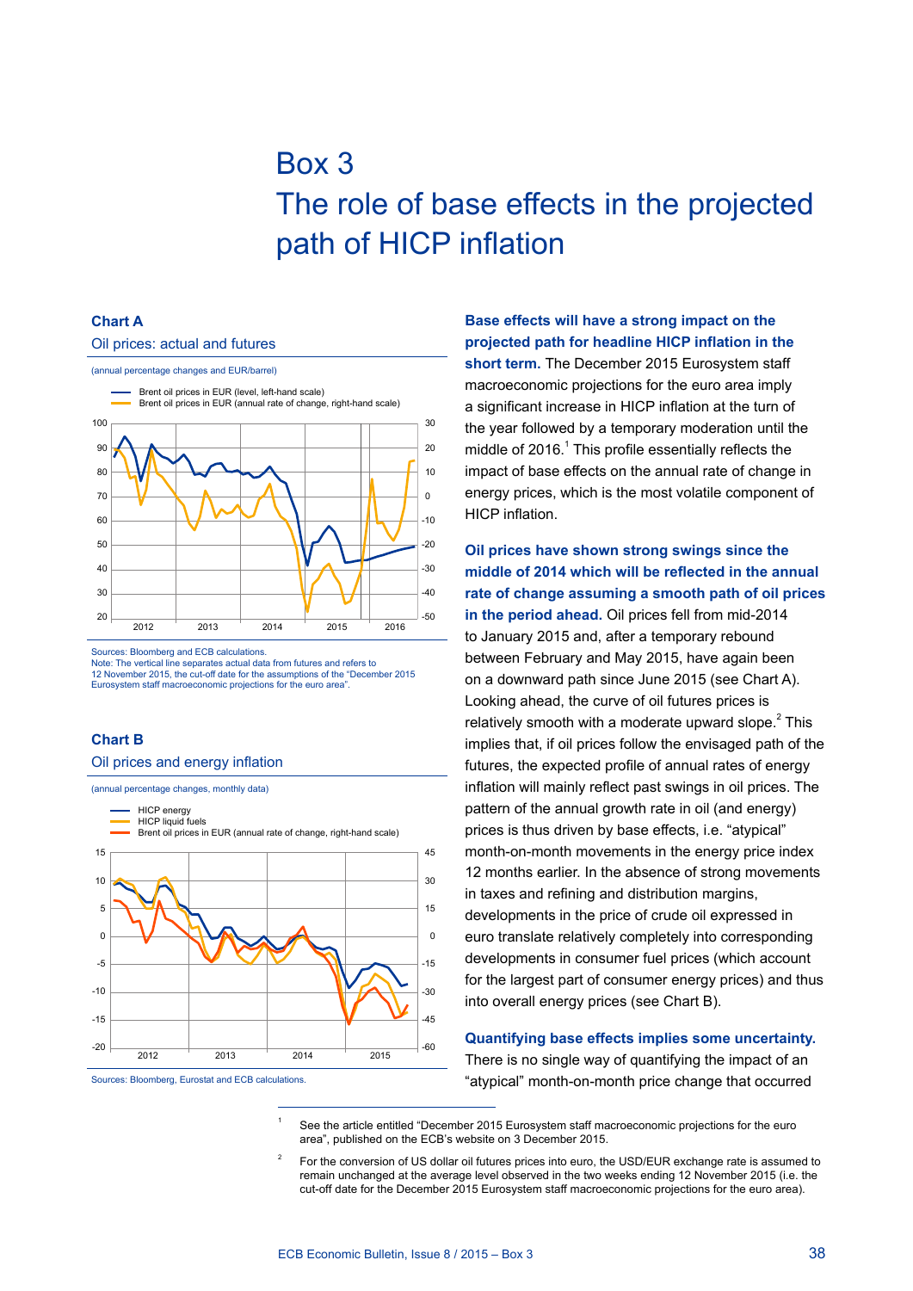# Box 3 The role of base effects in the projected path of HICP inflation

### **Chart A**

#### Oil prices: actual and futures



Sources: Bloomberg and ECB calculations.

Note: The vertical line separates actual data from futures and refers to 12 November 2015, the cut-off date for the assumptions of the "December 2015 Eurosystem staff macroeconomic projections for the euro area".

#### **Chart B**

#### Oil prices and energy inflation



Sources: Bloomberg, Eurostat and ECB calculations.

# **Base effects will have a strong impact on the projected path for headline HICP inflation in the**

**short term.** The December 2015 Eurosystem staff macroeconomic projections for the euro area imply a significant increase in HICP inflation at the turn of the year followed by a temporary moderation until the middle of 2016. $<sup>1</sup>$  This profile essentially reflects the</sup> impact of base effects on the annual rate of change in energy prices, which is the most volatile component of HICP inflation.

**Oil prices have shown strong swings since the middle of 2014 which will be reflected in the annual rate of change assuming a smooth path of oil prices in the period ahead.** Oil prices fell from mid-2014 to January 2015 and, after a temporary rebound between February and May 2015, have again been on a downward path since June 2015 (see Chart A). Looking ahead, the curve of oil futures prices is relatively smooth with a moderate upward slope. $2$  This implies that, if oil prices follow the envisaged path of the futures, the expected profile of annual rates of energy inflation will mainly reflect past swings in oil prices. The pattern of the annual growth rate in oil (and energy) prices is thus driven by base effects, i.e. "atypical" month-on-month movements in the energy price index 12 months earlier. In the absence of strong movements in taxes and refining and distribution margins, developments in the price of crude oil expressed in euro translate relatively completely into corresponding developments in consumer fuel prices (which account for the largest part of consumer energy prices) and thus into overall energy prices (see Chart B).

#### **Quantifying base effects implies some uncertainty.**

There is no single way of quantifying the impact of an "atypical" month-on-month price change that occurred

See the article entitled "December 2015 Eurosystem staff macroeconomic projections for the euro area", published on the ECB's website on 3 December 2015.

<sup>2</sup> For the conversion of US dollar oil futures prices into euro, the USD/EUR exchange rate is assumed to remain unchanged at the average level observed in the two weeks ending 12 November 2015 (i.e. the cut-off date for the December 2015 Eurosystem staff macroeconomic projections for the euro area).